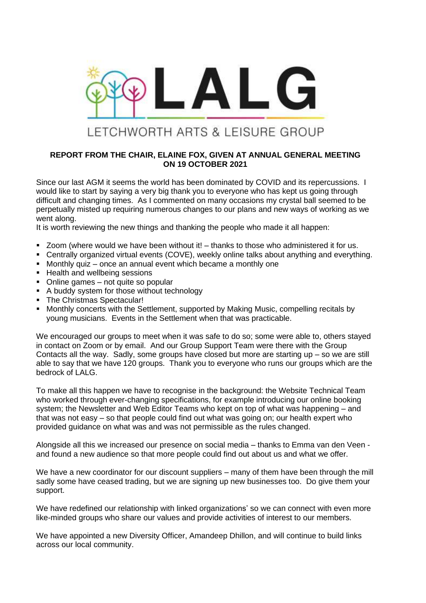

## **REPORT FROM THE CHAIR, ELAINE FOX, GIVEN AT ANNUAL GENERAL MEETING ON 19 OCTOBER 2021**

Since our last AGM it seems the world has been dominated by COVID and its repercussions. I would like to start by saying a very big thank you to everyone who has kept us going through difficult and changing times. As I commented on many occasions my crystal ball seemed to be perpetually misted up requiring numerous changes to our plans and new ways of working as we went along.

It is worth reviewing the new things and thanking the people who made it all happen:

- Zoom (where would we have been without it! thanks to those who administered it for us.
- Centrally organized virtual events (COVE), weekly online talks about anything and everything.
- Monthly quiz once an annual event which became a monthly one
- Health and wellbeing sessions
- Online games not quite so popular
- A buddy system for those without technology
- The Christmas Spectacular!
- Monthly concerts with the Settlement, supported by Making Music, compelling recitals by young musicians. Events in the Settlement when that was practicable.

We encouraged our groups to meet when it was safe to do so; some were able to, others stayed in contact on Zoom or by email. And our Group Support Team were there with the Group Contacts all the way. Sadly, some groups have closed but more are starting up – so we are still able to say that we have 120 groups. Thank you to everyone who runs our groups which are the bedrock of LALG.

To make all this happen we have to recognise in the background: the Website Technical Team who worked through ever-changing specifications, for example introducing our online booking system; the Newsletter and Web Editor Teams who kept on top of what was happening – and that was not easy – so that people could find out what was going on; our health expert who provided guidance on what was and was not permissible as the rules changed.

Alongside all this we increased our presence on social media – thanks to Emma van den Veen and found a new audience so that more people could find out about us and what we offer.

We have a new coordinator for our discount suppliers – many of them have been through the mill sadly some have ceased trading, but we are signing up new businesses too. Do give them your support.

We have redefined our relationship with linked organizations' so we can connect with even more like-minded groups who share our values and provide activities of interest to our members.

We have appointed a new Diversity Officer, Amandeep Dhillon, and will continue to build links across our local community.